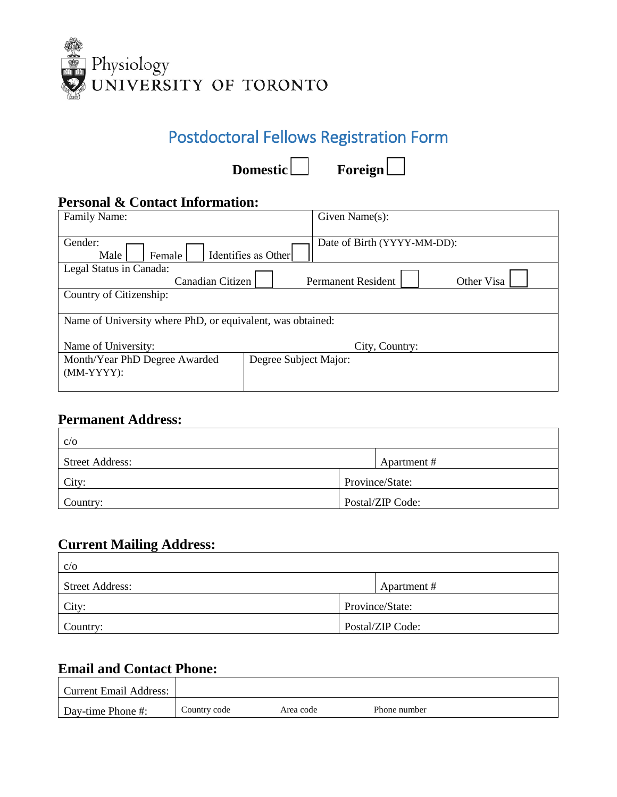

# Postdoctoral Fellows Registration Form

Domestic Foreign

### **Personal & Contact Information:**

| Name of University where PhD, or equivalent, was obtained: |  |  |
|------------------------------------------------------------|--|--|
|                                                            |  |  |
|                                                            |  |  |
|                                                            |  |  |
|                                                            |  |  |

#### **Permanent Address:**

| C/O                    |                  |
|------------------------|------------------|
| <b>Street Address:</b> | Apartment #      |
| City:                  | Province/State:  |
| Country:               | Postal/ZIP Code: |

#### **Current Mailing Address:**

| C/O                    |                  |
|------------------------|------------------|
| <b>Street Address:</b> | Apartment #      |
| City:                  | Province/State:  |
| Country:               | Postal/ZIP Code: |

#### **Email and Contact Phone:**

| <b>Current Email Address:</b> |              |           |              |  |
|-------------------------------|--------------|-----------|--------------|--|
| Day-time Phone #:             | Country code | Area code | Phone number |  |